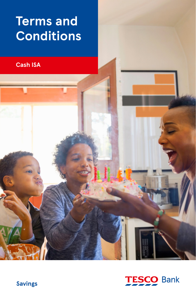# **Terms and Conditions**

**Cash ISA**



**Savings**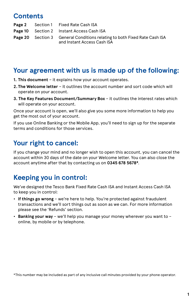# **Contents**

|  | <b>Page 2</b> Section 1 Fixed Rate Cash ISA                                                                     |
|--|-----------------------------------------------------------------------------------------------------------------|
|  | <b>Page 10</b> Section 2 Instant Access Cash ISA                                                                |
|  | <b>Page 20</b> Section 3 General Conditions relating to both Fixed Rate Cash ISA<br>and Instant Access Cash ISA |

# **Your agreement with us is made up of the following:**

- **1. This document** it explains how your account operates.
- **2. The Welcome letter** it outlines the account number and sort code which will operate on your account.
- **3. The Key Features Document/Summary Box** it outlines the interest rates which will operate on your account.

Once your account is open, we'll also give you some more information to help you get the most out of your account.

If you use Online Banking or the Mobile App, you'll need to sign up for the separate terms and conditions for those services.

# **Your right to cancel:**

If you change your mind and no longer wish to open this account, you can cancel the account within 30 days of the date on your Welcome letter. You can also close the account anytime after that by contacting us on **0345 678 5678\***.

# **Keeping you in control:**

We've designed the Tesco Bank Fixed Rate Cash ISA and Instant Access Cash ISA to keep you in control:

- **If things go wrong** we're here to help. You're protected against fraudulent transactions and we'll sort things out as soon as we can. For more information please see the 'Refunds' section.
- **Banking your way** we'll help you manage your money wherever you want to online, by mobile or by telephone.

\*This number may be included as part of any inclusive call minutes provided by your phone operator.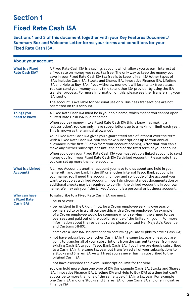# **Section 1**

# **Fixed Rate Cash ISA**

**Sections 1 and 3 of this document together with your Key Features Document/ Summary Box and Welcome Letter forms your terms and conditions for your Fixed Rate Cash ISA.**

| About your account                              |                                                                                                                                                                                                                                                                                                                                                                                                                                                                                                                                                                                                                      |
|-------------------------------------------------|----------------------------------------------------------------------------------------------------------------------------------------------------------------------------------------------------------------------------------------------------------------------------------------------------------------------------------------------------------------------------------------------------------------------------------------------------------------------------------------------------------------------------------------------------------------------------------------------------------------------|
| <b>What is a Fixed</b><br><b>Rate Cash ISA?</b> | A Fixed Rate Cash ISA is a savings account which allows you to earn interest at<br>a fixed rate on money you save, tax free. The only way to keep the money you<br>save in your Fixed Rate Cash ISA tax free is to keep it in an ISA (other types of<br>ISA's include; Cash ISA, Stocks and Shares ISA, Innovative Finance ISA, Lifetime<br>ISA and Help to Buy ISA). If you withdraw money, it will lose its tax free status.<br>You can send your money at any time to another ISA provider by using the ISA<br>transfer process. For more information on this, please see the 'Transferring your<br>ISA' section. |
|                                                 | The account is available for personal use only. Business transactions are not<br>permitted on this account.                                                                                                                                                                                                                                                                                                                                                                                                                                                                                                          |
| <b>Things you</b><br>need to know               | A Fixed Rate Cash ISA must be in your sole name, which means you cannot open<br>a Fixed Rate Cash ISA in joint names.                                                                                                                                                                                                                                                                                                                                                                                                                                                                                                |
|                                                 | When you pay money into a Fixed Rate Cash ISA this is known as making a<br>'subscription'. You can only make subscriptions up to a maximum limit each year.<br>This is known as the 'annual allowance'.                                                                                                                                                                                                                                                                                                                                                                                                              |
|                                                 | Your Fixed Rate Cash ISA gives you a guaranteed rate of interest over the term.<br>With a Fixed Rate Cash ISA, you can make subscriptions up to your annual<br>allowance in the first 30 days from your account opening. After that, you can't<br>make any further subscriptions until the end of the fixed term of your account.                                                                                                                                                                                                                                                                                    |
|                                                 | When you open your Fixed Rate Cash ISA you must set up a linked account to send<br>money out from your Fixed Rate Cash ISA ('a Linked Account'). Please note that<br>you can set up more than one account.                                                                                                                                                                                                                                                                                                                                                                                                           |
| <b>What is a Linked</b><br><b>Account?</b>      | A Linked Account is another account you have told us about and held in your<br>name with another bank in the UK or another internal Tesco Bank account in<br>your name. You'll need the account number and sort code of the account you<br>want to set up as a Linked Account. In certain circumstances documentation or<br>additional checks may be required to confirm the Linked Account is in your own<br>name. We may ask you if the Linked Account is a personal or business account.                                                                                                                          |
| Who can have                                    | To subscribe to a Fixed Rate Cash ISA you must:                                                                                                                                                                                                                                                                                                                                                                                                                                                                                                                                                                      |
| a Fixed Rate<br>Cash ISA?                       | $\cdot$ be 18 or over;                                                                                                                                                                                                                                                                                                                                                                                                                                                                                                                                                                                               |
|                                                 | • be resident in the UK or, if not, be a Crown employee serving overseas or<br>be married to or in a civil partnership with a Crown employee. An example<br>of a Crown employee would be someone who is serving in the armed forces<br>overseas and paid out of the public revenue of the United Kingdom. For more<br>information about the residency rules, please contact Her Majesty's Revenue<br>and Customs (HMRC);                                                                                                                                                                                             |
|                                                 | $\cdot$ complete a Cash ISA Declaration form confirming you are eligible to have a Cash ISA;                                                                                                                                                                                                                                                                                                                                                                                                                                                                                                                         |
|                                                 | • not have subscribed to another Cash ISA in the same tax year unless you are<br>going to transfer all of your subscriptions from the current tax year from your<br>existing Cash ISA to your Tesco Bank Cash ISA. If you have previously subscribed<br>to a Cash ISA in the same tax year but transferred all of your subscriptions to<br>a Stocks and Shares ISA we will treat you as never having subscribed to the<br>original Cash ISA;                                                                                                                                                                         |
|                                                 | . not have exceeded the overall subscription limit for the year.                                                                                                                                                                                                                                                                                                                                                                                                                                                                                                                                                     |
|                                                 | You can hold more than one type of ISA (for example Cash ISA, Stocks and Shares<br>ISA, Innovative Finance ISA, Lifetime ISA and Help to Buy ISA) at a time but can't<br>subscribe to more than one of the same type of ISA in a tax year. For example<br>one Cash ISA and one Stocks and Shares ISA; or one Cash ISA and one Innovative<br>Finance ISA.                                                                                                                                                                                                                                                             |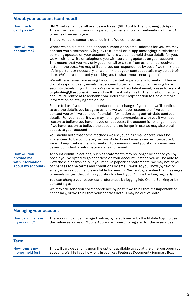### **About your account (continued)**

| How much<br>can I pay in?                                                  | HMRC sets an annual allowance each year (6th April to the following 5th April).<br>This is the maximum amount a person can save into any combination of the ISA<br>types tax free each year.<br>The current allowance is detailed in the Welcome Letter.                                                                                                                                                                                                                                                                                                                                                                                                                      |
|----------------------------------------------------------------------------|-------------------------------------------------------------------------------------------------------------------------------------------------------------------------------------------------------------------------------------------------------------------------------------------------------------------------------------------------------------------------------------------------------------------------------------------------------------------------------------------------------------------------------------------------------------------------------------------------------------------------------------------------------------------------------|
| <b>How will you</b><br>contact me?                                         | Where we hold a mobile telephone number or an email address for you, we may<br>contact you electronically (e.g. by text, email or in-app messaging) in relation to<br>servicing updates on your account. Where we do not hold these details for you,<br>we will either write or telephone you with servicing updates on your account.<br>This means that you may only get an email or a text from us, and not receive a<br>letter in the post. We may still send you correspondence by post if we think that<br>it's important or necessary, or we think that your contact details may be out-of-<br>date. We'll never contact you asking you to share your security details. |
|                                                                            | We will never email you asking for confidential or personal information. Please<br>do not respond to any emails that appear to be from Tesco Bank asking for your<br>security details. If you think you've received a fraudulent email, please forward it<br>to phishing@tescobank.com and we'll investigate this further. Visit our Security<br>and Fraud Centre at tescobank.com under the 'Help' section to find out more<br>information on staying safe online.                                                                                                                                                                                                           |
|                                                                            | Please tell us if your name or contact details change. If you don't we'll continue<br>to use the details you last gave us, and we won't be responsible if we can't<br>contact you or if we send confidential information using out-of-date contact<br>details. For your security, we may no longer communicate with you if we have<br>reason to believe you have moved or it appears the account is no longer in use.<br>If we have reason to believe the account is no longer in use we may also block<br>access to your account.                                                                                                                                            |
|                                                                            | You should note that some methods we use, such as email or text, can't be<br>guaranteed to be completely secure. As texts and emails can be intercepted,<br>we will keep confidential information to a minimum and you should never send<br>us any confidential information via text or email.                                                                                                                                                                                                                                                                                                                                                                                |
| <b>How will you</b><br>provide me<br>with information<br>about my account? | Account communications, such as statements may no longer be sent to you by<br>post if you've opted to go paperless on your account. Instead you will be able to<br>view these electronically. If you receive paperless statements, we may notify you<br>of changes to the terms and conditions by email. We'll let you know (by text or<br>email) when a document is available for viewing. We can't guarantee that messages<br>or emails will get through, so you should check your Online Banking regularly.                                                                                                                                                                |
|                                                                            | You can change your paperless preferences by logging into Online Banking or by<br>contacting us.                                                                                                                                                                                                                                                                                                                                                                                                                                                                                                                                                                              |
|                                                                            | We may still send you correspondence by post if we think that it's important or<br>necessary, or we think that your contact details may be out-of-date.                                                                                                                                                                                                                                                                                                                                                                                                                                                                                                                       |

### **Managing your account**

| How can I manage | The account can be managed online, by telephone or by the Mobile App. To use    |
|------------------|---------------------------------------------------------------------------------|
| my account?      | the online services or Mobile App you will need to register for these services. |

| Term            |                                                                                      |
|-----------------|--------------------------------------------------------------------------------------|
| How long is my  | This will vary depending upon the options available to you at the time you open your |
| money held for? | account. We'll tell you how long in your Key Features Document/Summary Box.          |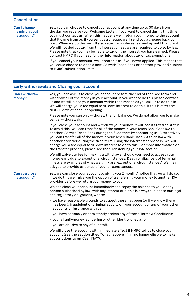### **Cancellation**

| Can I change<br>my mind about<br>my account? | Yes, you can choose to cancel your account at any time up to 30 days from<br>the day you receive your Welcome Letter. If you want to cancel during this time,<br>you must contact us. When this happens we'll return your money to the account<br>that it came from or, if you sent us a cheque, we'll send you a cheque back by<br>post. When we do this we will also return any interest earned up until that point.<br>We will not deduct tax from this interest unless we are required to do so by law.<br>Please note that you may be liable to tax on the interest you have earned. Please<br>contact HMRC if you need further information about tax or tax exemptions. |
|----------------------------------------------|-------------------------------------------------------------------------------------------------------------------------------------------------------------------------------------------------------------------------------------------------------------------------------------------------------------------------------------------------------------------------------------------------------------------------------------------------------------------------------------------------------------------------------------------------------------------------------------------------------------------------------------------------------------------------------|
|                                              | If you cancel your account, we'll treat this as if you never applied. This means that<br>you could choose to open a new ISA (with Tesco Bank or another provider) subject<br>to HMRC subscription limits.                                                                                                                                                                                                                                                                                                                                                                                                                                                                     |

# **Early withdrawals and Closing your account**

| <b>Can I withdraw</b><br>money? | Yes, you can ask us to close your account before the end of the fixed term and<br>withdraw all of the money in your account. If you want to do this please contact<br>us and we will close your account within the timescales you ask us to do this in.<br>We will charge you a fee equal to 90 days interest to do this, if this is after the<br>first 30 days of account opening.                                                                                                                                                                                                           |  |  |
|---------------------------------|-----------------------------------------------------------------------------------------------------------------------------------------------------------------------------------------------------------------------------------------------------------------------------------------------------------------------------------------------------------------------------------------------------------------------------------------------------------------------------------------------------------------------------------------------------------------------------------------------|--|--|
|                                 | Please note you can only withdraw the full balance. We do not allow you to make<br>partial withdrawals.                                                                                                                                                                                                                                                                                                                                                                                                                                                                                       |  |  |
|                                 | If you close your account and withdraw your money, it will lose its tax free status.<br>To avoid this, you can transfer all of the money in your Tesco Bank Cash ISA to<br>another ISA with Tesco Bank during the fixed term by contacting us. Alternatively<br>you can transfer all of the money in your Tesco Bank Cash ISA to an ISA with<br>another provider during the fixed term, using the ISA transfer process. We will<br>charge you a fee equal to 90 days interest to do to this. For more information on<br>the transfer process, please see the 'Transferring your ISA' section. |  |  |
|                                 | We will waive our fee for making a withdrawal should you need to access your<br>money early due to exceptional circumstances. Death or diagnosis of terminal<br>illness are examples of what we think are 'exceptional circumstances'. We may<br>ask you to provide evidence of your circumstances.                                                                                                                                                                                                                                                                                           |  |  |
| Can you close<br>my account?    | Yes, we can close your account by giving you 2 months' notice that we will do so.<br>If we do this we'll give you the option of transferring your money to another ISA<br>provider before we return your money to you.                                                                                                                                                                                                                                                                                                                                                                        |  |  |
|                                 | We can close your account immediately and repay the balance to you, or any<br>person authorised by law, with any interest due; this is always subject to our legal<br>and regulatory obligations, where:                                                                                                                                                                                                                                                                                                                                                                                      |  |  |
|                                 | • we have reasonable grounds to suspect there has been (or if we know there<br>has been), fraudulent or criminal activity on your account or any of your other<br>accounts or insurance with us:                                                                                                                                                                                                                                                                                                                                                                                              |  |  |
|                                 | · you have seriously or persistently broken any of these Terms & Conditions;                                                                                                                                                                                                                                                                                                                                                                                                                                                                                                                  |  |  |
|                                 | • you fail anti-money laundering or other identity checks; or                                                                                                                                                                                                                                                                                                                                                                                                                                                                                                                                 |  |  |
|                                 | • you are abusive to any of our staff.                                                                                                                                                                                                                                                                                                                                                                                                                                                                                                                                                        |  |  |
|                                 | We will close the account with immediate effect if HMRC tell us to close your<br>account (see the section titled 'What happens if I'm no longer eligible to make<br>subscriptions to my Cash ISA?').                                                                                                                                                                                                                                                                                                                                                                                          |  |  |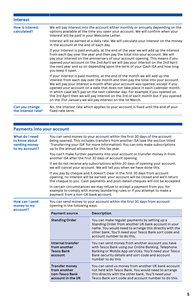| <b>Interest</b>                       |                                                                                                                                                                                                                                                                                                                                                                                                                                                                                                                                                                           |
|---------------------------------------|---------------------------------------------------------------------------------------------------------------------------------------------------------------------------------------------------------------------------------------------------------------------------------------------------------------------------------------------------------------------------------------------------------------------------------------------------------------------------------------------------------------------------------------------------------------------------|
| <b>How is interest</b><br>calculated? | We will pay interest into the account either monthly or annually depending on the<br>options available at the time you open your account. We will confirm when your<br>interest will be paid in your Welcome Letter.                                                                                                                                                                                                                                                                                                                                                      |
|                                       | Interest will be earned at a daily rate. We will calculate your interest on the money<br>in the account at the end of each day.                                                                                                                                                                                                                                                                                                                                                                                                                                           |
|                                       | If your interest is paid annually, at the end of the year we will add up the interest<br>from each day over the year and then pay the total into your account. We will<br>pay your interest on the anniversary of your account opening. This means if you<br>opened your account on the 2nd April we will pay your interest on the 2nd April<br>the next year and so on depending upon the term of your Cash ISA and how long<br>you keep it open.                                                                                                                        |
|                                       | If your interest is paid monthly, at the end of the month we will add up the<br>interest from each day over the month and then pay the total into your account.<br>We will pay your interest a month after your account was opened, except if you<br>opened your account on a date that does not take place in each calendar month,<br>in which case we'll pay on the next calendar day. For example if you opened on<br>the 3rd April then we will pay interest on the 3rd of each month but if you opened<br>on the 31st January we will pay interest on the 1st March. |
| Can you change<br>the interest rate?  | No, the interest rate which applies to your account is fixed until the end of your<br>fixed rate term.                                                                                                                                                                                                                                                                                                                                                                                                                                                                    |

### **Payments into your account**

| What do I need<br>to know about<br>sending money<br>to my account? | You can send money to your account within the first 30 days of the account<br>being opened. This includes transfers from another ISA (see the section titled<br>'Transferring your ISA' for more information). You can only make subscriptions<br>up to the annual allowance for this tax year. |                                                                                                                                                                                                                                                       |  |
|--------------------------------------------------------------------|-------------------------------------------------------------------------------------------------------------------------------------------------------------------------------------------------------------------------------------------------------------------------------------------------|-------------------------------------------------------------------------------------------------------------------------------------------------------------------------------------------------------------------------------------------------------|--|
|                                                                    | You can't make further payments into your account or transfer money in from<br>another ISA after the first 30 days of account opening.                                                                                                                                                          |                                                                                                                                                                                                                                                       |  |
|                                                                    | If we do not receive any subscriptions within 30 days of opening your account,<br>we will cancel your account. We will tell you when we have done this.                                                                                                                                         |                                                                                                                                                                                                                                                       |  |
|                                                                    | If you pay by cheque and it doesn't clear in the first 30 days from account<br>opening, no interest will be earned, your account will be closed and we'll return<br>the cheque to you. Cash payments and post-dated cheques will not be accepted.                                               |                                                                                                                                                                                                                                                       |  |
|                                                                    | In certain circumstances we may refuse to accept a payment from you, for<br>example to comply with money laundering rules or if you attempt to make a<br>payment from a non-UK bank account.                                                                                                    |                                                                                                                                                                                                                                                       |  |
| How can I send<br>money to my<br>account?                          | You can send money to your account within the first 30 days from account<br>opening in the following ways:                                                                                                                                                                                      |                                                                                                                                                                                                                                                       |  |
|                                                                    | <b>Payment source</b>                                                                                                                                                                                                                                                                           |                                                                                                                                                                                                                                                       |  |
|                                                                    |                                                                                                                                                                                                                                                                                                 | <b>Description</b>                                                                                                                                                                                                                                    |  |
|                                                                    | <b>Standing Order</b>                                                                                                                                                                                                                                                                           | You can make regular payments by setting up a<br>Standing Order from another UK bank account in your<br>name. You would need to arrange this directly with the<br>other bank. You'll need your Tesco Bank sort code and<br>account number to do this. |  |
|                                                                    | Internal transfer<br>from another<br><b>Tesco Bank</b><br>account                                                                                                                                                                                                                               | You can send money from another account you have<br>with Tesco Bank using our Online Banking, Telephone<br>Banking or Mobile App services. You'll need your Tesco<br>Bank security details and sort code and account<br>number to do this.            |  |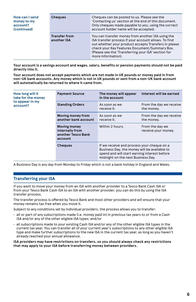| How can I send<br>money to my<br>account?<br>(continued) | <b>Cheques</b>                      | Cheques can be posted to us. Please see the<br>'Contacting us' section at the end of this document.<br>Only cheques made payable to you, using the correct<br>account holder name will be accepted.                                                                                             |  |  |
|----------------------------------------------------------|-------------------------------------|-------------------------------------------------------------------------------------------------------------------------------------------------------------------------------------------------------------------------------------------------------------------------------------------------|--|--|
|                                                          | <b>Transfer from</b><br>another ISA | You can transfer money from another ISA using the<br>ISA transfer process if your account allows. To find<br>out whether your product accepts Transfers in please<br>check your Key Features Document/Summary Box.<br>(Please see the 'Transferring your ISA' section for<br>more information). |  |  |

**Your account is a savings account and wages, salary, benefits or pension payments should not be paid directly into it.**

**Your account does not accept payments which are not made in UK pounds or money paid in from non-UK bank accounts. Any money which is not in UK pounds or sent from a non-UK bank account will automatically be returned to where it came from.**

| How long will it<br>take for the money | <b>Payment Source</b>                                                   | The money will appear<br>in the account                                                                                                                                          | Interest will be earned                |
|----------------------------------------|-------------------------------------------------------------------------|----------------------------------------------------------------------------------------------------------------------------------------------------------------------------------|----------------------------------------|
| to appear in my<br>account?            | <b>Standing Orders</b>                                                  | As soon as we<br>receive it.                                                                                                                                                     | From the day we receive<br>the money.  |
|                                        | Moving money from<br>another bank account                               | As soon as we<br>receive it.                                                                                                                                                     | From the day we receive<br>the money.  |
|                                        | <b>Moving money</b><br>internally from<br>another Tesco Bank<br>account | Within 2 hours.                                                                                                                                                                  | From the day we<br>receive your money. |
|                                        | <b>Cheques</b>                                                          | If we receive and process your cheque on a<br>Business Day, the money will be available to<br>spend and will start earning interest before<br>midnight on the next Business Day. |                                        |

A Business Day is any day from Monday to Friday which is not a bank holiday in England and Wales.

#### **Transferring your ISA**

If you want to move your money from an ISA with another provider to a Tesco Bank Cash ISA or from your Tesco Bank Cash ISA to an ISA with another provider, you can do this by using the ISA transfer process.

The transfer process is offered by Tesco Bank and most other providers and will ensure that your money remains tax free when you move it.

Subject to any conditions set by individual providers, the process allows you to transfer:

- all or part of any subscriptions made (i.e. money paid in) in previous tax years to or from a Cash ISA and/or any of the other eligible ISA types; and/or
- all subscriptions made to your existing Cash ISA and/or any of the other eligible ISA types in the current tax year. You can transfer all of your current year's subscriptions to any other eligible ISA type and make further subscriptions to the new ISA in the current tax year, as long as you haven't already reached your annual allowance.

**ISA providers may have restrictions on transfers, so you should always check any restrictions that may apply to your ISA before transferring money between providers.**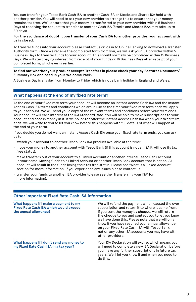You can transfer your Tesco Bank Cash ISA to another Cash ISA or Stocks and Shares ISA held with another provider. You will need to ask your new provider to arrange this to ensure that your money remains tax free. We'll ensure that your money is transferred to your new provider within 5 Business Days of receiving the request to transfer to another Cash ISA (Stocks and Shares ISAs may take up to 30 days).

#### **For the avoidance of doubt, upon transfer of your Cash ISA to another provider, your account with us is closed.**

To transfer funds into your account please contact us or log in to Online Banking to download a Transfer Authority form. Once we receive the completed form from you, we will ask your ISA provider within 5 Business Days to transfer funds to your account. This should normally be completed within 15 Business Days. We will start paying interest from receipt of your funds or 16 Business Days after receipt of your completed form, whichever is earlier.

#### **To find out whether your product accepts Transfers in please check your Key Features Document/ Summary Box enclosed in your Welcome Pack.**

A Business Day is any day from Monday to Friday which is not a bank holiday in England and Wales.

#### **What happens at the end of my fixed rate term?**

At the end of your fixed rate term your account will become an Instant Access Cash ISA and the Instant Access Cash ISA terms and conditions which are in use at the time your fixed rate term ends will apply to your account. We will send you a copy of the relevant terms and conditions before your term ends. Your account will earn interest at the ISA Standard Rate. You will be able to make subscriptions to your account and access money in it. If we no longer offer the Instant Access Cash ISA when your fixed term ends, we will write to you to let you know before this happens with full details of what will happen at the end of your term.

If you decide you do not want an Instant Access Cash ISA once your fixed rate term ends, you can ask us to:

- switch your account to another Tesco Bank ISA product available at the time;
- move your money to another account with Tesco Bank (if this account is not an ISA it will lose its tax free status);
- make transfers out of your account to a Linked Account or another internal Tesco Bank account in your name. Moving funds to a Linked Account or another Tesco Bank account that is not an ISA account will result in the funds losing their tax free status. Please see 'What is a Linked Account' section for more information. If you experience any issues please contact us.
- transfer your funds to another ISA provider (please see the 'Transferring your ISA' for more information).

| Other important Fixed Rate Cash ISA information                                                                  |                                                                                                                                                                                                                                                                                                                                                                                                                                            |  |
|------------------------------------------------------------------------------------------------------------------|--------------------------------------------------------------------------------------------------------------------------------------------------------------------------------------------------------------------------------------------------------------------------------------------------------------------------------------------------------------------------------------------------------------------------------------------|--|
| What happens if I make a payment to my<br><b>Fixed Rate Cash ISA which would exceed</b><br>the annual allowance? | We will refund the payment which caused the over<br>subscription and return it to where it came from.<br>If you sent the money by cheque, we will return<br>the cheque to you and contact you to let you know<br>we have done this. Please note that we will only<br>know if you have reached your annual allowance<br>on your Fixed Rate Cash ISA with Tesco Bank,<br>not on any other ISA accounts you may have with<br>other providers. |  |
| What happens if I don't send any money to<br>my Fixed Rate Cash ISA in a tax year?                               | Your ISA Declaration will expire, which means you<br>will need to complete a new ISA Declaration before<br>you make any further subscriptions in future tax<br>years. We'll let you know if and when you need to<br>do this.                                                                                                                                                                                                               |  |

#### **Other important Fixed Rate Cash ISA information**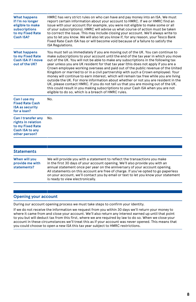| <b>What happens</b><br>if I'm no longer<br>eligible to make<br>subscriptions<br>to my Fixed Rate<br>Cash ISA? | HMRC has very strict rules on who can have and pay money into an ISA. We must<br>report certain information about your account to HMRC. If we or HMRC find an<br>issue with your account (for example, you were not eligible to make some or all<br>of your subscriptions), HMRC will advise us what course of action must be taken<br>to correct the issue. This may include closing your account. We'll always write to<br>you to let you know. We will also let you know if, for any reason, your Tesco Bank<br>Fixed Rate Cash ISA has or will become void because of a failure to satisfy the<br><b>ISA Regulations.</b>                                                                                                                                                                                                                                                                                                              |
|---------------------------------------------------------------------------------------------------------------|--------------------------------------------------------------------------------------------------------------------------------------------------------------------------------------------------------------------------------------------------------------------------------------------------------------------------------------------------------------------------------------------------------------------------------------------------------------------------------------------------------------------------------------------------------------------------------------------------------------------------------------------------------------------------------------------------------------------------------------------------------------------------------------------------------------------------------------------------------------------------------------------------------------------------------------------|
| <b>What happens</b><br>to my Fixed Rate<br>Cash ISA if I move<br>out of the UK?                               | You must tell us immediately if you are moving out of the UK. You can continue to<br>make subscriptions to your account until the end of the tax year in which you move<br>out of the UK. You will not be able to make any subscriptions in the following tax<br>year unless you are UK resident for that tax year (this does not apply if you are a<br>Crown employee working overseas and paid out of the public revenue of the United<br>Kingdom or married to or in a civil partnership with such a Crown employee). Your<br>money will continue to earn interest, which will remain tax free while you are living<br>outside the UK. For more information about whether or not you are resident in the<br>UK, please contact HMRC. If you do not tell us that you are moving out of the UK,<br>this could result in you making subscriptions to your Cash ISA when you are not<br>eligible to do so, which is a breach of HMRC rules. |
| Can I use my<br><b>Fixed Rate Cash</b><br><b>ISA as security</b><br>for a loan?                               | No.                                                                                                                                                                                                                                                                                                                                                                                                                                                                                                                                                                                                                                                                                                                                                                                                                                                                                                                                        |
| Can I transfer any<br>rights in relation<br>to my Fixed Rate<br>Cash ISA to any<br>other person?              | No.                                                                                                                                                                                                                                                                                                                                                                                                                                                                                                                                                                                                                                                                                                                                                                                                                                                                                                                                        |
|                                                                                                               |                                                                                                                                                                                                                                                                                                                                                                                                                                                                                                                                                                                                                                                                                                                                                                                                                                                                                                                                            |
| <b>Statements</b>                                                                                             |                                                                                                                                                                                                                                                                                                                                                                                                                                                                                                                                                                                                                                                                                                                                                                                                                                                                                                                                            |

#### **When will you provide me with statements?** We will provide you with a statement to reflect the transactions you make in the first 30 days of your account opening. We'll also provide you with an annual statement once per year on the anniversary of your account opening. All statements on this account are free of charge. If you've opted to go paperless on your account, we'll contact you by email or text to let you know your statement is ready to view electronically.

#### **Opening your account**

During our account opening process we must take steps to confirm your identity.

If we do not receive the information we request from you within 30 days we'll return your money to where it came from and close your account. We'll also return any interest earned up until that point to you but will deduct tax from this first, where we are required by law to do so. When we close your account in these circumstances we'll treat this as if your account was never opened. This means that you could choose to open a new ISA this tax year subject to HMRC restrictions.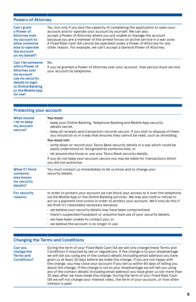#### **Powers of Attorney**

| Can I grant<br>a Power of<br><b>Attorney over</b><br>my account to<br>allow someone<br>else to operate<br>the account<br>on my behalf?                                 | Yes, but only if you lack the capacity of completing the application to open your<br>account and/or operate your account by yourself. We can also<br>accept a Power of Attorney where you are unable to manage the account<br>because you are a member of the armed forces on active service in a war zone.<br>A Fixed Rate Cash ISA cannot be operated under a Power of Attorney for any<br>other reason. For example, we can't accept a General Power of Attorney. |
|------------------------------------------------------------------------------------------------------------------------------------------------------------------------|----------------------------------------------------------------------------------------------------------------------------------------------------------------------------------------------------------------------------------------------------------------------------------------------------------------------------------------------------------------------------------------------------------------------------------------------------------------------|
| Can I let someone<br>with a Power of<br><b>Attorney over</b><br>my account<br>use my security<br>details to login<br>to Online Banking<br>or the Mobile App<br>for me? | No.<br>If you've granted a Power of Attorney over your account, that person must service<br>your account by telephone.                                                                                                                                                                                                                                                                                                                                               |

| <b>Protecting your account</b>                                      |                                                                                                                                                                                                                                                                                                                                                                                                                                                                                                                                                                                                                           |  |
|---------------------------------------------------------------------|---------------------------------------------------------------------------------------------------------------------------------------------------------------------------------------------------------------------------------------------------------------------------------------------------------------------------------------------------------------------------------------------------------------------------------------------------------------------------------------------------------------------------------------------------------------------------------------------------------------------------|--|
| <b>What should</b><br>I do to keep<br>my account<br>secure?         | You must:<br>• keep your Online Banking, Telephone Banking and Mobile App security<br>details secret.<br>· keep all receipts and transaction records secure. If you wish to dispose of them,<br>you should do so in a way that ensures they cannot be read, such as shredding.<br>You must not:<br>• write down or record your Tesco Bank security details in a way which could be<br>easily understood or recognised by someone else; or<br>· let anyone else know or use your Tesco Bank security details.<br>If you do not keep your account secure you may be liable for transactions which<br>you did not authorise. |  |
| What if I think<br>someone<br>else knows<br>my security<br>details? | You must contact us immediately to let us know and to change your<br>security details.                                                                                                                                                                                                                                                                                                                                                                                                                                                                                                                                    |  |
| <b>For security</b><br>reasons                                      | In order to protect your account we can block your access to it over the telephone<br>via the Mobile App or the Online Banking services. We may also hold or refuse to<br>act on a payment instruction in order to protect your account. We'll only do this if<br>we think it's reasonably necessary because:<br>• we believe your security details may have been compromised;<br>· there's suspected fraudulent or unauthorised use of your security details;<br>• we have been unable to contact you; or<br>$\cdot$ we believe the account is no longer in use.                                                         |  |

#### **Changing the Terms and Conditions**

**Can you change the Terms and Conditions?** During the term of your Fixed Rate Cash ISA we will only change these Terms and Conditions if required by law or regulations. If the change is to your disadvantage we will tell you using any of the contact details (including email address) you have given us at least 30 days before we make the change. If you are not happy with the change, you may close your account if you tell us within 60 days of telling you about the change. If the change is not to your disadvantage we will tell you using any of the contact details (including email address) you have given us not more than 30 days after we have made the change. During the term of your Fixed Rate Cash ISA we will not change your interest rates, the term of your account, or how often interest is paid.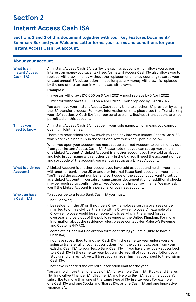# **Section 2**

# **Instant Access Cash ISA**

**Sections 2 and 3 of this document together with your Key Features Document/ Summary Box and your Welcome Letter forms your terms and conditions for your Instant Access Cash ISA account.**

| <b>About your account</b>                               |                                                                                                                                                                                                                                                                                                                                                                                                                                                                                             |  |
|---------------------------------------------------------|---------------------------------------------------------------------------------------------------------------------------------------------------------------------------------------------------------------------------------------------------------------------------------------------------------------------------------------------------------------------------------------------------------------------------------------------------------------------------------------------|--|
| What is an<br><b>Instant Access</b><br><b>Cash ISA?</b> | An Instant Access Cash ISA is a flexible savings account which allows you to earn<br>interest on money you save, tax free. An Instant Access Cash ISA also allows you to<br>replace withdrawn money without the replacement money counting towards your<br>unused annual ISA subscription limit so long as any money withdrawn is replaced<br>by the end of the tax year in which it was withdrawn.                                                                                         |  |
|                                                         | <b>Examples:</b>                                                                                                                                                                                                                                                                                                                                                                                                                                                                            |  |
|                                                         | · Investor withdraws £10,000 on 6 April 2021 - must replace by 5 April 2022                                                                                                                                                                                                                                                                                                                                                                                                                 |  |
|                                                         | · Investor withdraws £10,000 on 4 April 2022 - must replace by 5 April 2022                                                                                                                                                                                                                                                                                                                                                                                                                 |  |
|                                                         | You can move your Instant Access Cash at any time to another ISA provider by using<br>the ISA transfer process. For more information on this, please see the 'Transferring<br>your ISA' section. A Cash ISA is for personal use only. Business transactions are not<br>permitted on this account.                                                                                                                                                                                           |  |
| <b>Things you</b><br>need to know                       | An Instant Access Cash ISA must be in your sole name, which means you cannot<br>open it in joint names.                                                                                                                                                                                                                                                                                                                                                                                     |  |
|                                                         | There are restrictions on how much you can pay into your Instant Access Cash ISA,<br>which are explained fully in the Section "How much can I pay in?" below.                                                                                                                                                                                                                                                                                                                               |  |
|                                                         | When you open your account you must set up a Linked Account to send money out<br>from your Instant Access Cash ISA. Please note that you can set up more than<br>one Linked Account. A Linked Account is another account you have told us about<br>and held in your name with another bank in the UK. You'll need the account number<br>and sort code of the account you want to set up as a Linked Account.                                                                                |  |
| <b>What is a Linked</b><br><b>Account?</b>              | A Linked Account is another account you have told us about and held in your name<br>with another bank in the UK or another internal Tesco Bank account in your name.<br>You'll need the account number and sort code of the account you want to set up<br>as a Linked Account. In certain circumstances documentation or additional checks<br>may be required to confirm the Linked Account is in your own name. We may ask<br>you if the Linked Account is a personal or business account. |  |
| Who can have<br>a Cash ISA?                             | To subscribe to a Tesco Bank Cash ISA you must:<br>$\cdot$ be 18 or over:                                                                                                                                                                                                                                                                                                                                                                                                                   |  |
|                                                         | $\cdot$ be resident in the UK or, if not, be a Crown employee serving overseas or be<br>married to or in a civil partnership with a Crown employee. An example of a<br>Crown employee would be someone who is serving in the armed forces<br>overseas and paid out of the public revenue of the United Kingdom. For more<br>information about the residency rules, please contact Her Majesty's Revenue<br>and Customs (HMRC);                                                              |  |
|                                                         | · complete a Cash ISA Declaration form confirming you are eligible to have a<br>Cash ISA:                                                                                                                                                                                                                                                                                                                                                                                                   |  |
|                                                         | • not have subscribed to another Cash ISA in the same tax year unless you are<br>going to transfer all of your subscriptions from the current tax year from your<br>existing Cash ISA to your Tesco Bank Cash ISA. If you have previously subscribed<br>to a Cash ISA in the same tax year but transferred all of your subscriptions to a<br>Stocks and Shares ISA we will treat you as never having subscribed to the original<br>Cash ISA:                                                |  |
|                                                         | . not have exceeded the overall subscription limit for the year.                                                                                                                                                                                                                                                                                                                                                                                                                            |  |
|                                                         | You can hold more than one type of ISA (for example Cash ISA, Stocks and Shares<br>ISA, Innovative Finance ISA, Lifetime ISA and Help to Buy ISA) at a time but can't<br>subscribe to more than one of the same type of ISA in a tax year. For example<br>one Cash ISA and one Stocks and Shares ISA; or one Cash ISA and one Innovative<br>Finance ISA.                                                                                                                                    |  |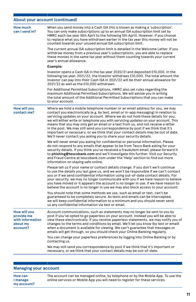# **About your account (continued)**

| <b>How much</b><br>can I send in?                                             | When you send money into a Cash ISA this is known as making a 'subscription'.<br>You can only make subscriptions up to an annual ISA subscription limit set by<br>HMRC each tax year (6th April to the following 5th April). However, if you choose<br>to replace what you have withdrawn earlier in the tax year this money will not be<br>counted towards your unused annual ISA subscription limit.                                                                                                                                                                                                                                                                       |
|-------------------------------------------------------------------------------|------------------------------------------------------------------------------------------------------------------------------------------------------------------------------------------------------------------------------------------------------------------------------------------------------------------------------------------------------------------------------------------------------------------------------------------------------------------------------------------------------------------------------------------------------------------------------------------------------------------------------------------------------------------------------|
|                                                                               | The current annual ISA subscription limit is detailed in the Welcome Letter. If you<br>withdraw money from a previous year's subscriptions, you are able to replace<br>these monies in the same tax year without them counting towards your current<br>year's annual allowance.                                                                                                                                                                                                                                                                                                                                                                                              |
|                                                                               | Example:                                                                                                                                                                                                                                                                                                                                                                                                                                                                                                                                                                                                                                                                     |
|                                                                               | Investor opens a Cash ISA in the tax year 2020/21 and deposited £10,000. In the<br>following tax year, 2021/22, the Investor withdraws £10,000. The total amount the<br>Investor can pay into their Cash ISA in 2021/22 will be their annual allowance for<br>2021/22 as well as the £10,000 withdrawn.                                                                                                                                                                                                                                                                                                                                                                      |
|                                                                               | For Additional Permitted Subscriptions, HMRC also set rules regarding the<br>maximum Additional Permitted Subscriptions. We will advise you in writing<br>the total amount of the Additional Permitted Subscriptions that you can make<br>to your account.                                                                                                                                                                                                                                                                                                                                                                                                                   |
| <b>How will you</b><br>contact me?                                            | Where we hold a mobile telephone number or an email address for you, we may<br>contact you electronically (e.g. by text, email or in-app messaging) in relation to<br>servicing updates on your account. Where we do not hold these details for you,<br>we will either write or telephone you with servicing updates on your account. This<br>means that you may only get an email or a text from us, and not receive a letter<br>in the post. We may still send you correspondence by post if we think that it's<br>important or necessary, or we think that your contact details may be out of date.<br>We'll never contact you asking you to share your security details. |
|                                                                               | We will never email you asking for confidential or personal information. Please<br>do not respond to any emails that appear to be from Tesco Bank asking for your<br>security details. If you think you've received a fraudulent email, please forward it<br>to phishing@tescobank.com and we'll investigate this further. Visit our Security<br>and Fraud Centre at tescobank.com under the 'Help' section to find out more<br>information on staying safe online.                                                                                                                                                                                                          |
|                                                                               | Please tell us if your name or contact details change. If you don't we'll continue<br>to use the details you last gave us, and we won't be responsible if we can't contact<br>you or if we send confidential information using out-of-date contact details. For<br>your security, we may no longer communicate with you if we have reason to believe<br>you have moved or it appears the account is no longer in use. If we have reason to<br>believe the account is no longer in use we may also block access to your account.                                                                                                                                              |
|                                                                               | You should note that some methods we use, such as email or text, can't be<br>guaranteed to be completely secure. As texts and emails can be intercepted,<br>we will keep confidential information to a minimum and you should never send<br>us any confidential information via text or email.                                                                                                                                                                                                                                                                                                                                                                               |
| <b>How will you</b><br>provide me<br>with information<br>about my<br>account? | Account communications, such as statements may no longer be sent to you by<br>post if you've opted to go paperless on your account. Instead you will be able to<br>view these electronically. If you receive paperless statements, we may notify you of<br>changes to the terms and conditions by email. We'll let you know (by text or email)<br>when a document is available for viewing. We can't guarantee that messages or<br>emails will get through, so you should check your Online Banking regularly.                                                                                                                                                               |
|                                                                               | You can change your paperless preferences by logging into Online Banking or by<br>contacting us.                                                                                                                                                                                                                                                                                                                                                                                                                                                                                                                                                                             |
|                                                                               | We may still send you correspondence by post if we think that it's important or<br>necessary, or we think that your contact details may be out-of-date.                                                                                                                                                                                                                                                                                                                                                                                                                                                                                                                      |

### **Managing your account**

| How can                 | The account can be managed online, by telephone or by the Mobile App. To use the<br>online services or Mobile App you will need to register for these services. |
|-------------------------|-----------------------------------------------------------------------------------------------------------------------------------------------------------------|
| I manage<br>my account? |                                                                                                                                                                 |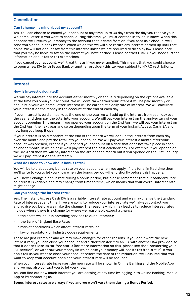#### **Cancellation**

#### **Can I change my mind about my account?**

Yes. You can choose to cancel your account at any time up to 30 days from the day you receive your Welcome Letter. If you want to cancel during this time, you must contact us to let us know. When this happens we'll return your money to the account that it came from or, if you sent us a cheque, we'll send you a cheque back by post. When we do this we will also return any interest earned up until that point. We will not deduct tax from this interest unless we are required to do so by law. Please note that you may be liable to tax on the interest you have earned. Please contact HMRC if you need further information about tax or tax exemptions.

If you cancel your account, we'll treat this as if you never applied. This means that you could choose to open a new ISA (with Tesco Bank or another provider) this tax year subject to HMRC restrictions.

#### **Interest**

#### **How is interest calculated?**

We will pay interest into the account either monthly or annually depending on the options available at the time you open your account. We will confirm whether your interest will be paid monthly or annually in your Welcome Letter. Interest will be earned at a daily rate of interest. We will calculate your interest on the money in the account at the end of each day.

If your interest is paid annually, at the end of the year we will add up the interest from each day over the year and then pay the total into your account. We will pay your interest on the anniversary of your account opening. This means if you opened your account on the 2nd April we will pay your interest on the 2nd April the next year and so on depending upon the term of your Instant Access Cash ISA and how long you keep it open.

If your interest is paid monthly, at the end of the month we will add up the interest from each day over the month and pay the total into your account. We will pay your interest a month after your account was opened, except if you opened your account on a date that does not take place in each calendar month, in which case we'll pay interest the next calendar day. For example if you opened on the 3rd April then we will pay interest on the 3rd of each month but if you opened on the 31st January we will pay interest on the 1st March.

#### **What do I need to know about bonus rates?**

You will be told about any bonus rate on your account when you apply. If it is for a limited time then we'll write to you to let you know when the bonus period will end shortly before this happens.

We'll never change a bonus rate during a bonus period, but please remember that our Standard Rate of interest is variable and may change from time to time, which means that your overall interest rate might change.

#### **Can you change the interest rate?**

Yes. The Instant Access Cash ISA is a variable interest rate account and we may change the Standard Rate of interest at any time. If we are going to reduce your interest rate we'll always contact you and advise you before we make the change. The reasons which may lead us to reduce interest rates include where there is a change (or where we reasonably expect a change):

- in the costs we incur in providing services to our customers;
- in the Bank of England Base Rate;
- in market conditions which affect interest rates; or
- $\cdot$  in law or regulatory or industry code requirements.

These are just examples and we may make changes for other reasons. If you don't want the new interest rate, you can close your account and either transfer it to an ISA with another ISA provider, so that it doesn't lose its tax free status (for more information on this, please see the 'Transferring your ISA' section), or withdraw your money (in which case your money will lose its tax free status). If you don't tell us you want to close your account before the date of the reduction, we'll assume that you want to keep your account open and your interest rate will be reduced.

When your interest rate increases, the new rate will be shown in Online Banking and the Mobile App and we may also contact you to let you know.

You can find out how much interest you are earning at any time by logging in to Online Banking, Mobile App or by contacting us.

#### **Bonus Interest rates are always fixed and we won't vary them during a Bonus Period.**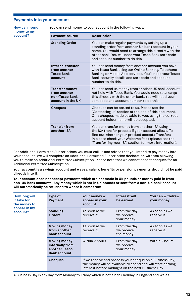#### **Payments into your account**

**How can I send money to my account?** You can send money to your account in the following ways: **Payment source Description Standing Order** You can make regular payments by setting up a standing order from another UK bank account in your name. You would need to arrange this directly with the other bank. You will need your Tesco Bank sort code and account number to do this. **Internal transfer from another Tesco Bank account** You can send money from another account you have with Tesco Bank using our Online Banking, Telephone Banking or Mobile App services. You'll need your Tesco Bank security details and sort code and account number to do this. **Transfer money from another non-Tesco Bank account in the UK** You can send us money from another UK bank account not held with Tesco Bank. You would need to arrange this directly with the other bank. You will need your sort code and account number to do this. **Cheques** Cheques can be posted to us. Please see the 'Contacting us' section at the end of this document. Only cheques made payable to you, using the correct account holder name will be accepted. **Transfer from another ISA** You can transfer money from another ISA using the ISA transfer process if your account allows. To find out whether your product accepts Transfers in please check your Welcome Pack (please see the 'Transferring your ISA' section for more information).

For Additional Permitted Subscriptions you must call us and advise that you intend to pay money into your account. We will complete an Additional Permitted Subscription declaration with you allowing you to make an Additional Permitted Subscription. Please note that we cannot accept cheques for an Additional Permitted Subscription.

**Your account is a savings account and wages, salary, benefits or pension payments should not be paid directly into it.**

**Your account does not accept payments which are not made in UK pounds or money paid in from non-UK bank accounts. Any money which is not in UK pounds or sent from a non-UK bank account will automatically be returned to where it came from.**

| How long will<br>it take for<br>the money to<br>appear in my<br>account? | Type of<br>Payment                                                      | Your money will<br>appear in your<br>account                                                                                                                                  | Interest will<br>be earned                | You can withdraw<br>your money |
|--------------------------------------------------------------------------|-------------------------------------------------------------------------|-------------------------------------------------------------------------------------------------------------------------------------------------------------------------------|-------------------------------------------|--------------------------------|
|                                                                          | <b>Standing</b><br><b>Orders</b>                                        | As soon as we<br>receive it.                                                                                                                                                  | From the day<br>we receive<br>your money. | As soon as we<br>receive it.   |
|                                                                          | <b>Moving money</b><br>from another<br>bank account                     | As soon as we<br>receive it.                                                                                                                                                  | From the day<br>we receive<br>the money.  | As soon as we<br>receive it.   |
|                                                                          | Moving money<br>internally from<br>another Tesco<br><b>Bank account</b> | Within 2 hours.                                                                                                                                                               | From the day<br>we receive<br>your money. | Within 2 hours.                |
|                                                                          | <b>Cheques</b>                                                          | If we receive and process your cheque on a Business Day,<br>the money will be available to spend and will start earning<br>interest before midnight on the next Business Day. |                                           |                                |

A Business Day is any day from Monday to Friday which is not a bank holiday in England and Wales.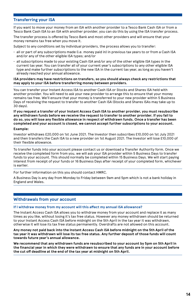#### **Transferring your ISA**

If you want to move your money from an ISA with another provider to a Tesco Bank Cash ISA or from a Tesco Bank Cash ISA to an ISA with another provider, you can do this by using the ISA transfer process.

The transfer process is offered by Tesco Bank and most other providers and will ensure that your money remains tax free when you move it.

Subject to any conditions set by individual providers, the process allows you to transfer:

- all or part of any subscriptions made (i.e. money paid in) in previous tax years to or from a Cash ISA and/or any of the other eligible ISA types; and/or
- all subscriptions made to your existing Cash ISA and/or any of the other eligible ISA types in the current tax year. You can transfer all of your current year's subscriptions to any other eligible ISA type and make further subscriptions to the new ISA in the current tax year, as long as you haven't already reached your annual allowance.

#### **ISA providers may have restrictions on transfers, so you should always check any restrictions that may apply to your ISA before transferring money between providers.**

You can transfer your Instant Access ISA to another Cash ISA or Stocks and Shares ISA held with another provider. You will need to ask your new provider to arrange this to ensure that your money remains tax free. We'll ensure that your money is transferred to your new provider within 5 Business Days of receiving the request to transfer to another Cash ISA (Stocks and Shares ISAs may take up to 30 days).

**If you request a transfer of your Instant Access Cash ISA to another provider, you must resubscribe any withdrawn funds before we receive the request to transfer to another provider. If you fail to do so, you will lose any flexible allowance in respect of withdrawn funds. Once a transfer has been completed and your account is closed, we cannot accept further subscriptions to your account.**

#### **Example:**

Investor withdraws £20,000 on 1st June 2021. The Investor then subscribes £10,000 on 1st July 2021 and then transfers the Cash ISA to a new provider on 1st August 2021. The Investor will lose £10,000 of their flexible allowance.

To transfer funds into your account please contact us or download a Transfer Authority form. Once we receive the completed form from you, we will ask your ISA provider within 5 Business Days to transfer funds to your account. This should normally be completed within 15 Business Days. We will start paying interest from receipt of your funds or 16 Business Days after receipt of your completed form, whichever is earlier.

For further information on this you should contact HMRC.

A Business Day is any day from Monday to Friday between 9am and 5pm which is not a bank holiday in England and Wales.

#### **Withdrawals from your account**

**If I withdraw money from my account will this affect my annual ISA allowance?** 

The Instant Access Cash ISA allows you to withdraw money from your account and replace it as many times as you like, without losing it's tax free status. However any money withdrawn should be returned to your Instant Access Cash ISA before midnight on the 5th April in the tax year it was withdrawn, otherwise it will lose its tax free status permanently. Overdrafts are not allowed on this account.

**Any money not paid back into the Instant Access Cash ISA before midnight on the 5th April of the tax year it was withdrawn will lose its tax free status. Any further deposit of those funds will count towards future year's annual allowance.**

**We recommend that any withdrawn funds are resubscribed to your account by 5pm on 5th April in the financial year in which they were withdrawn to ensure that any funds are in your account before the cut off deadline at the end of the tax year at midnight on 5th April.**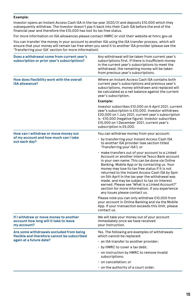#### **Example:**

Investor opens an Instant Access Cash ISA in the tax year 2020/21 and deposits £10,000 which they subsequently withdraw. The Investor doesn't pay it back into their Cash ISA before the end of the financial year and therefore the £10,000 has lost its tax free status.

For more information on ISA allowances please contact HMRC or visit their website at hmrc.gov.uk

You can transfer the money in your account to another ISA using the ISA transfer process, which will ensure that your money will remain tax free when you send it to another ISA provider (please see the 'Transferring your ISA' section for more information).

| Does a withdrawal come from current year's<br>subscription or prior year's subscriptions?       | Any withdrawal will be taken from current year's<br>subscriptions first. If there is insufficient money<br>in the current year's subscriptions to meet the<br>withdrawal, the remaining money will be taken<br>from previous year's subscriptions.                                                                                                                                                                                                                                                                                                |
|-------------------------------------------------------------------------------------------------|---------------------------------------------------------------------------------------------------------------------------------------------------------------------------------------------------------------------------------------------------------------------------------------------------------------------------------------------------------------------------------------------------------------------------------------------------------------------------------------------------------------------------------------------------|
| How does flexibility work with the overall<br><b>ISA allowance?</b>                             | Where an Instant Access Cash ISA contains both<br>current year's subscriptions and previous year's<br>subscriptions, money withdrawn and replaced will<br>be calculated as a net balance against the current<br>year's subscription.                                                                                                                                                                                                                                                                                                              |
|                                                                                                 | Example:                                                                                                                                                                                                                                                                                                                                                                                                                                                                                                                                          |
|                                                                                                 | Investor subscribes £10,000 on 6 April 2021, current<br>year's subscription is £10,000. Investor withdraws<br>£20,000 on 1 July 2021, current year's subscription<br>is -£10,000 (negative figure). Investor subscribes<br>£15,000 on 1 December 2021, current year's<br>subscription is £5,000.                                                                                                                                                                                                                                                  |
| How can I withdraw or move money out                                                            | You can withdraw money from your account:                                                                                                                                                                                                                                                                                                                                                                                                                                                                                                         |
| of my account and how much can I take<br>out each day?                                          | • by transferring your Instant Access Cash ISA<br>to another ISA provider (see section titled<br>'Transferring your ISA'); or                                                                                                                                                                                                                                                                                                                                                                                                                     |
|                                                                                                 | · make transfers out of your account to a Linked<br>Account or another internal Tesco Bank account<br>in your own name. This can be done via Online<br>Banking, Mobile App or by contacting us. Your<br>money may lose its tax free status if it is not<br>returned to the Instant Access Cash ISA by 5pm<br>on 5th April in the tax year the withdrawal was<br>made, and may be subject to tax on interest<br>earned. Please see 'What is a Linked Account?'<br>section for more information. If you experience<br>any issues please contact us. |
|                                                                                                 | Please note you can only withdraw £10,000 from<br>your account in Online Banking and via the Mobile<br>App. If your transaction exceeds this limit, please<br>contact us.                                                                                                                                                                                                                                                                                                                                                                         |
| If I withdraw or move money to another<br>account how long will it take to leave<br>my account? | We will take your money out of your account<br>immediately once we have received<br>your instruction.                                                                                                                                                                                                                                                                                                                                                                                                                                             |
| Are some withdrawals excluded from being<br>flexible and therefore cannot be subscribed         | Yes. The following are examples of withdrawals<br>which cannot be replaced:                                                                                                                                                                                                                                                                                                                                                                                                                                                                       |
| again at a future date?                                                                         | $\cdot$ an ISA transfer to another provider;                                                                                                                                                                                                                                                                                                                                                                                                                                                                                                      |
|                                                                                                 | $\cdot$ by HMRC to cover a tax debt;                                                                                                                                                                                                                                                                                                                                                                                                                                                                                                              |
|                                                                                                 | . on instruction by HMRC to remove invalid<br>subscriptions;                                                                                                                                                                                                                                                                                                                                                                                                                                                                                      |
|                                                                                                 | · on cancellation; or                                                                                                                                                                                                                                                                                                                                                                                                                                                                                                                             |
|                                                                                                 | on the authority of a court order.                                                                                                                                                                                                                                                                                                                                                                                                                                                                                                                |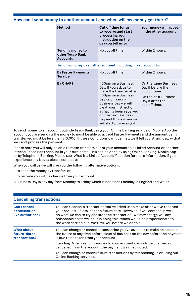#### **How can I send money to another account and when will my money get there?**

| Method                                                      | Cut off time for us<br>to receive and start<br>processing your<br>instruction on the<br>day you tell us to                                                                                                                                                                               | Your money will appear<br>in the other account                                                                          |
|-------------------------------------------------------------|------------------------------------------------------------------------------------------------------------------------------------------------------------------------------------------------------------------------------------------------------------------------------------------|-------------------------------------------------------------------------------------------------------------------------|
| Sending money to<br>other Tesco Bank<br><b>Accounts</b>     | No cut off time.                                                                                                                                                                                                                                                                         | Within 2 hours.                                                                                                         |
| Sending money to another account including linked accounts: |                                                                                                                                                                                                                                                                                          |                                                                                                                         |
| <b>By Faster Payments</b><br>Service                        | No cut off time.                                                                                                                                                                                                                                                                         | Within 2 hours.                                                                                                         |
| <b>By CHAPS</b>                                             | 1.30pm on a Business<br>Day. If you ask us to<br>make the transfer after<br>1.30pm on a Business<br>Day or on a non-<br><b>Business Day we will</b><br>treat your instruction<br>as having been received<br>on the next Business<br>Day and this is when we<br>will start processing it. | On the same Business<br>Day if before the<br>cut-off time.<br>On the next Business<br>Day if after the<br>cut-off time. |

To send money to an account outside Tesco Bank using your Online Banking service or Mobile App the account you are sending the money to must be able to accept Faster Payments and the amount being transferred must be less than £10,000. If these conditions can't be met, we'll tell you straight away that we can't process the payment.

Please note you will only be able to make transfers out of your account to a Linked Account or another internal Tesco Bank account in your own name. This can be done by using Online Banking, Mobile App or by Telephone Banking. Please see 'What is a Linked Account?' section for more information. If you experience any issues please contact us.

When you call us we will give you the following alternative options:

- to send the money by transfer; or
- to provide you with a cheque from your account.

A Business Day is any day from Monday to Friday which is not a bank holiday in England and Wales.

| <b>Cancelling transactions</b>                    |                                                                                                                                                                                                                                                                                                                                                                             |
|---------------------------------------------------|-----------------------------------------------------------------------------------------------------------------------------------------------------------------------------------------------------------------------------------------------------------------------------------------------------------------------------------------------------------------------------|
| Can I cancel<br>a transaction<br>I've authorised? | You can't cancel a transaction you've asked us to make after we've received<br>your request unless it's for a future date. However, if you contact us we'll<br>do what we can to try and stop the transaction. We may charge you any<br>reasonable costs we incur in doing this, which would be proportionate to<br>the work carried out. We'll tell you before we do this. |
| What about<br>future-dated<br>transactions?       | You can change or cancel a transaction you've asked us to make on a date in<br>the future at any time before close of business on the day before the payment<br>is due to be taken from your account.                                                                                                                                                                       |
|                                                   | Standing Orders sending money to your account can only be changed or<br>cancelled from the account the payment was instructed.                                                                                                                                                                                                                                              |
|                                                   | You can change or cancel future transactions by telephoning us or using our<br>Online Banking services.                                                                                                                                                                                                                                                                     |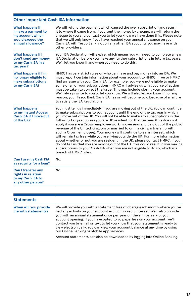# **Other important Cash ISA information**

| What happens if<br>I make a payment to<br>my account which<br>would exceed the<br>annual allowance? | We will refund the payment which caused the over subscription and return<br>it to where it came from. If you sent the money by cheque, we will return the<br>cheque to you and contact you to let you know we have done this. Please note<br>that we will only know if you have reached your annual allowance on your<br>Cash ISA with Tesco Bank, not on any other ISA accounts you may have with<br>other providers.                                                                                                                                                                                                                                                                                                                                                                                                                                                                                                                        |  |
|-----------------------------------------------------------------------------------------------------|-----------------------------------------------------------------------------------------------------------------------------------------------------------------------------------------------------------------------------------------------------------------------------------------------------------------------------------------------------------------------------------------------------------------------------------------------------------------------------------------------------------------------------------------------------------------------------------------------------------------------------------------------------------------------------------------------------------------------------------------------------------------------------------------------------------------------------------------------------------------------------------------------------------------------------------------------|--|
| What happens if I<br>don't send any money<br>to my Cash ISA in a<br>tax year?                       | Your ISA Declaration will expire, which means you will need to complete a new<br>ISA Declaration before you make any further subscriptions in future tax years.<br>We'll let you know if and when you need to do this.                                                                                                                                                                                                                                                                                                                                                                                                                                                                                                                                                                                                                                                                                                                        |  |
| What happens if I'm<br>no longer eligible to<br>make subscriptions<br>to my Cash ISA?               | HMRC has very strict rules on who can have and pay money into an ISA. We<br>must report certain information about your account to HMRC. If we or HMRC<br>find an issue with your Cash ISA (for example, you were not eligible to make<br>some or all of your subscriptions), HMRC will advise us what course of action<br>must be taken to correct the issue. This may include closing your account.<br>We'll always write to you to let you know. We will also let you know if, for any<br>reason, your Tesco Bank Cash ISA has or will become void because of a failure<br>to satisfy the ISA Regulations.                                                                                                                                                                                                                                                                                                                                  |  |
| <b>What happens</b><br>to my Instant Access<br>Cash ISA if I move out<br>of the UK?                 | You must tell us immediately if you are moving out of the UK. You can continue<br>to make subscriptions to your account until the end of the tax year in which<br>you move out of the UK. You will not be able to make any subscriptions in the<br>following tax year unless you are UK resident for that tax year (this does not<br>apply if you are a Crown employee working overseas and paid out of the public<br>revenue of the United Kingdom or married to or in a civil partnership with<br>such a Crown employee). Your money will continue to earn interest, which<br>will remain tax free while you are living outside the UK. For more information<br>about whether or not you are resident in the UK, please contact HMRC. If you<br>do not tell us that you are moving out of the UK, this could result in you making<br>subscriptions to your Cash ISA when you are not eligible to do so, which is a<br>breach of HMRC rules. |  |
| Can I use my Cash ISA<br>as security for a loan?                                                    | No.                                                                                                                                                                                                                                                                                                                                                                                                                                                                                                                                                                                                                                                                                                                                                                                                                                                                                                                                           |  |
| Can I transfer any<br>rights in relation<br>to my Cash ISA to<br>any other person?                  | No.                                                                                                                                                                                                                                                                                                                                                                                                                                                                                                                                                                                                                                                                                                                                                                                                                                                                                                                                           |  |

| <b>Statements</b>                            |                                                                                                                                                                                                                                                                                                                                                                                                                                                                                                                                  |
|----------------------------------------------|----------------------------------------------------------------------------------------------------------------------------------------------------------------------------------------------------------------------------------------------------------------------------------------------------------------------------------------------------------------------------------------------------------------------------------------------------------------------------------------------------------------------------------|
| When will you provide<br>me with statements? | We will provide you with a statement free of charge each month where you've<br>had any activity on your account excluding credit interest. We'll also provide<br>you with an annual statement once per year on the anniversary of your<br>account opening. If you have opted to go paperless on your account, we'll<br>contact you by email or text to let you know that your statement is ready to<br>view electronically. You can view your account balance at any time by using<br>our Online Banking or Mobile App services. |
|                                              | Account statements can also be downloaded by logging into Online Banking.                                                                                                                                                                                                                                                                                                                                                                                                                                                        |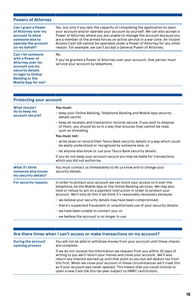### **Powers of Attorney**

| If you've granted a Power of Attorney over your account, that person must<br>service your account by telephone. |
|-----------------------------------------------------------------------------------------------------------------|
|                                                                                                                 |

#### **Protecting your account**

| What should I<br>do to keep my<br>account secure?             | You must:                                                                                                                                                                                                                                                                                                     |
|---------------------------------------------------------------|---------------------------------------------------------------------------------------------------------------------------------------------------------------------------------------------------------------------------------------------------------------------------------------------------------------|
|                                                               | • keep your Online Banking, Telephone Banking and Mobile App security<br>details secret.                                                                                                                                                                                                                      |
|                                                               | $\cdot$ keep all receipts and transaction records secure. If you wish to dispose<br>of them, you should do so in a way that ensures they cannot be read,<br>such as shredding.                                                                                                                                |
|                                                               | You must not:                                                                                                                                                                                                                                                                                                 |
|                                                               | $\cdot$ write down or record their Tesco Bank security details in a way which could<br>be easily understood or recognised by someone else; or                                                                                                                                                                 |
|                                                               | · let anyone else know or use your Tesco Bank security details.                                                                                                                                                                                                                                               |
|                                                               | If you do not keep your account secure you may be liable for transactions<br>which you did not authorise.                                                                                                                                                                                                     |
| What if I think<br>someone else knows<br>my security details? | You must contact us immediately to let us know and to change your<br>security details.                                                                                                                                                                                                                        |
| For security reasons                                          | In order to protect your account we can block your access to it over the<br>telephone via the Mobile App or the Online Banking services. We may also<br>hold or refuse to act on a payment instruction in order to protect your<br>account. We'll only do this if we think it's reasonably necessary because: |
|                                                               | • we believe your security details may have been compromised;                                                                                                                                                                                                                                                 |
|                                                               | there's suspected fraudulent or unauthorised use of your security details;                                                                                                                                                                                                                                    |
|                                                               | • we have been unable to contact you; or                                                                                                                                                                                                                                                                      |
|                                                               | $\cdot$ we believe the account is no longer in use.                                                                                                                                                                                                                                                           |

### **Are there times when I can't access or make transactions on my account?**

| During the account | You will not be able to withdraw money from your account until these checks                                                                                                                                                                                                                                                                                                                                                                                                |
|--------------------|----------------------------------------------------------------------------------------------------------------------------------------------------------------------------------------------------------------------------------------------------------------------------------------------------------------------------------------------------------------------------------------------------------------------------------------------------------------------------|
| opening process    | are complete.                                                                                                                                                                                                                                                                                                                                                                                                                                                              |
|                    | If we do not receive the information we request from you within 30 days of<br>writing to you we'll return your money and close your account. We'll also<br>return any interest earned up until that point to you but will deduct tax from<br>this first. When we close your account in these circumstances we'll treat this<br>as if your account was never opened. This means that you could choose to<br>open a new Cash ISA this tax year subject to HMRC restrictions. |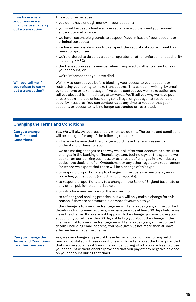| If we have a very<br>good reason we<br>might refuse to carry<br>out a transaction | This would be because:                                                                                                                                                                                                                                                                                                                                                                                                                                                                                                                                |
|-----------------------------------------------------------------------------------|-------------------------------------------------------------------------------------------------------------------------------------------------------------------------------------------------------------------------------------------------------------------------------------------------------------------------------------------------------------------------------------------------------------------------------------------------------------------------------------------------------------------------------------------------------|
|                                                                                   | · you don't have enough money in your account;                                                                                                                                                                                                                                                                                                                                                                                                                                                                                                        |
|                                                                                   | v you would exceed a limit we have set or you would exceed your annual<br>subscription allowance;                                                                                                                                                                                                                                                                                                                                                                                                                                                     |
|                                                                                   | • we have reasonable grounds to suspect fraud, misuse of your account or<br>criminal purposes;                                                                                                                                                                                                                                                                                                                                                                                                                                                        |
|                                                                                   | • we have reasonable grounds to suspect the security of your account has<br>been compromised;                                                                                                                                                                                                                                                                                                                                                                                                                                                         |
|                                                                                   | $\cdot$ we're ordered to do so by a court, regulator or other enforcement authority<br>including HMRC;                                                                                                                                                                                                                                                                                                                                                                                                                                                |
|                                                                                   | the transaction seems unusual when compared to other transactions on<br>your account; or                                                                                                                                                                                                                                                                                                                                                                                                                                                              |
|                                                                                   | • we're informed that you have died.                                                                                                                                                                                                                                                                                                                                                                                                                                                                                                                  |
| Will you tell me if<br>you refuse to carry<br>out a transaction?                  | We'll try to contact you before blocking your access to your account or<br>restricting your ability to make transactions. This can be in writing, by email,<br>by telephone or text message. If we can't contact you we'll take action and<br>tell you about this immediately afterwards. We'll tell you why we have put<br>a restriction in place unless doing so is illegal or goes against reasonable<br>security measures. You can contact us at any time to request that your<br>account, or access to it, is no longer suspended or restricted. |

| <b>Changing the Terms and Conditions</b>                                |                                                                                                                                                                                                                                                                                                                                                                                                                                                                                                                                |  |
|-------------------------------------------------------------------------|--------------------------------------------------------------------------------------------------------------------------------------------------------------------------------------------------------------------------------------------------------------------------------------------------------------------------------------------------------------------------------------------------------------------------------------------------------------------------------------------------------------------------------|--|
| Can you change<br>the Terms and<br>Conditions?                          | Yes. We will always act reasonably when we do this. The terms and conditions<br>will be changed for any of the following reasons:                                                                                                                                                                                                                                                                                                                                                                                              |  |
|                                                                         | $\cdot$ where we believe that the change would make the terms easier to<br>understand or fairer to you:                                                                                                                                                                                                                                                                                                                                                                                                                        |  |
|                                                                         | • we are making changes to the way we look after your account as a result of<br>changes in the banking or financial system, technology, or the systems we<br>use to run our banking business, or as a result of changes in law, industry<br>codes, the decision of an Ombudsman or any other regulatory requirement<br>(or where we expect that there will be a change of this type);                                                                                                                                          |  |
|                                                                         | to respond proportionately to changes in the costs we reasonably incur in<br>providing your account (including funding costs);                                                                                                                                                                                                                                                                                                                                                                                                 |  |
|                                                                         | • to respond proportionately to a change in the Bank of England base rate or<br>any other public-listed market rate;                                                                                                                                                                                                                                                                                                                                                                                                           |  |
|                                                                         | • to introduce new services to the account: or                                                                                                                                                                                                                                                                                                                                                                                                                                                                                 |  |
|                                                                         | • to reflect good banking practice (but we will only make a change for this<br>reason if they are as favourable or more favourable to you).                                                                                                                                                                                                                                                                                                                                                                                    |  |
|                                                                         | If the change is to your disadvantage we will tell you using any of the contact<br>details (including email address) you have given us at least 30 days before we<br>make the change. If you are not happy with the change, you may close your<br>account if you tell us within 60 days of telling you about the change. If the<br>change is not to your disadvantage we will tell you using any of the contact<br>details (including email address) you have given us not more than 30 days<br>after we have made the change. |  |
| Can you change the<br><b>Terms and Conditions</b><br>for other reasons? | Yes, we can change any part of these terms and conditions for any valid<br>reason not stated in these conditions which we tell you at the time, provided<br>that we give you at least 2 months' notice, during which you are free to close<br>your account without charge (provided that you pay off any negative balance<br>on your account during that time).                                                                                                                                                                |  |
|                                                                         |                                                                                                                                                                                                                                                                                                                                                                                                                                                                                                                                |  |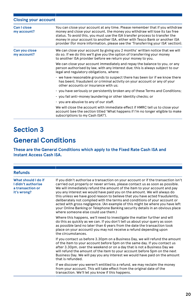| <b>Closing your account</b>                                                                                                                                                                                                                                                                                                                                                                                    |
|----------------------------------------------------------------------------------------------------------------------------------------------------------------------------------------------------------------------------------------------------------------------------------------------------------------------------------------------------------------------------------------------------------------|
| You can close your account at any time. Please remember that if you withdraw<br>money and close your account, the money you withdraw will lose its tax free<br>status. To avoid this, you must use the ISA transfer process to transfer the<br>money in your account to another ISA, either with Tesco Bank or another ISA<br>provider (for more information, please see the 'Transferring your ISA' section). |
| We can close your account by giving you 2 months' written notice that we will<br>do so. If we do this we'll give you the option of transferring your money<br>to another ISA provider before we return your money to you.                                                                                                                                                                                      |
| We can close your account immediately and repay the balance to you, or any<br>person authorised by law, with any interest due; this is always subject to our<br>legal and regulatory obligations, where:                                                                                                                                                                                                       |
| • we have reasonable grounds to suspect there has been (or if we know there<br>has been), fraudulent or criminal activity on your account or any of your<br>other accounts or insurance with us:                                                                                                                                                                                                               |
| · you have seriously or persistently broken any of these Terms and Conditions;                                                                                                                                                                                                                                                                                                                                 |
| $\cdot$ you fail anti-money laundering or other identity checks; or                                                                                                                                                                                                                                                                                                                                            |
| $\cdot$ you are abusive to any of our staff.                                                                                                                                                                                                                                                                                                                                                                   |
| We will close the account with immediate effect if HMRC tell us to close your<br>account (see the section titled 'What happens if I'm no longer eligible to make<br>subscriptions to my Cash ISA?').                                                                                                                                                                                                           |
|                                                                                                                                                                                                                                                                                                                                                                                                                |

# **Section 3 General Conditions**

**These are the General Conditions which apply to the Fixed Rate Cash ISA and Instant Access Cash ISA.**

| <b>Refunds</b>                                                               |                                                                                                                                                                                                                                                                                                                                                                                                                                                                                                                                                                                                                                                                                                    |
|------------------------------------------------------------------------------|----------------------------------------------------------------------------------------------------------------------------------------------------------------------------------------------------------------------------------------------------------------------------------------------------------------------------------------------------------------------------------------------------------------------------------------------------------------------------------------------------------------------------------------------------------------------------------------------------------------------------------------------------------------------------------------------------|
| What should I do if<br>I didn't authorise<br>a transaction or<br>it's wrong? | If you didn't authorise a transaction on your account or if the transaction isn't<br>carried out properly or never arrives, please contact us as soon as possible.<br>We will immediately refund the amount of the item to your account and pay<br>you any interest we would have paid you on the amount. We will always do<br>this unless we have good reason to believe that you have acted fraudulently,<br>deliberately not complied with the terms and conditions of your account or<br>acted with gross negligence. (An example of this might be where you have left<br>your Online Banking or Telephone Banking security details in an obvious place<br>where someone else could use them.) |
|                                                                              | Where this happens, we'll need to investigate the matter further and will<br>do this as quickly as we can. If you don't tell us about your query as soon<br>as possible (and no later than 6 years from the date the transaction took<br>place on your account) you may not receive a refund depending upon<br>the circumstances.                                                                                                                                                                                                                                                                                                                                                                  |
|                                                                              | If you contact us before 3.30pm on a Business Day, we will refund the amount<br>of the item to your account before 5pm on the same day. If you contact us<br>after 3.30pm, over the weekend or on a day that is not a Business Day we<br>will refund the amount of the item to your account before 5pm on the next<br>Business Day. We will pay you any interest we would have paid on the amount<br>that is refunded.                                                                                                                                                                                                                                                                             |
|                                                                              | If we discover you weren't entitled to a refund, we may reclaim the money<br>from your account. This will take effect from the original date of the<br>transaction. We'll let you know if this happens.                                                                                                                                                                                                                                                                                                                                                                                                                                                                                            |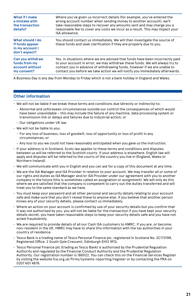| What if I make<br>a mistake with<br>the transaction<br>details?         | Where you've given us incorrect details (for example, you've entered the<br>wrong account number when sending money to another account), we'll<br>take reasonable steps to recover any amounts sent and may charge you a<br>reasonable fee to cover any costs we incur as a result. This may impact your<br>ISA allowance. |
|-------------------------------------------------------------------------|----------------------------------------------------------------------------------------------------------------------------------------------------------------------------------------------------------------------------------------------------------------------------------------------------------------------------|
| What should I do<br>if funds appear<br>in my account I<br>don't expect? | You should contact us immediately. We will then investigate the source of<br>these funds and seek clarification if they are properly due to you.                                                                                                                                                                           |
| Can you withdraw<br>funds from my<br>account without<br>my consent?     | Yes, in situations where we are advised that funds have been incorrectly paid<br>to your account in error, we may withdraw these funds. We will always try to<br>contact you in advance of withdrawing funds, however if we are unable to<br>contact you before we take action we will notify you immediately afterwards.  |

A Business Day is any day from Monday to Friday which is not a bank holiday in England and Wales.

#### **Other information**

- We will not be liable if we break these terms and conditions due (directly or indirectly) to:
	- Abnormal and unforeseen circumstances outside our control the consequences of which would have been unavoidable – this may include the failure of any machine, data processing system or transmission link or delays and failures due to industrial action; or
	- Our obligations under UK law.
- We will not be liable to you:
	- For any loss of business, loss of goodwill, loss of opportunity or loss of profit in any circumstances; or
	- Any loss to you we could not have reasonably anticipated when you gave us the instruction.
- If your address is in Scotland, Scots law applies to these terms and conditions and disputes between us will be referred to the Scottish courts. If your address is elsewhere, English law will apply and disputes will be referred to the courts of the country you live in (England, Wales or Northern Ireland).
- We will communicate with you in English and you can ask for a copy of this document at any time.
- We are the ISA Manager and ISA Provider in relation to your account. We may transfer all or some of our rights and duties as ISA Manager and/or ISA Provider under our agreement with you to another company in the future (this is sometimes called an assignation or assignment). We will only do this where we are satisfied that the company is competent to carry out the duties transferred and will treat you to the same standard as we have.
- You must keep your password and all other personal and security details relating to your account safe and make sure that you don't reveal these to anyone else. If you believe that another person knows any of your security details, please contact us immediately.
- Where an action on your account is confirmed by use of your security details but you confirm that it was not authorised by you, you will not be liable for the transaction if you have kept your security details secret, you have taken reasonable steps to keep your security details safe and you have not acted fraudulently.
- We are required to provide details of all our Cash ISA customers to HMRC. If you are, or become, non-resident in the UK, HMRC may have to share this information with the tax authorities in your country of residence.
- Tesco Bank is a trading name of Tesco Personal Finance plc, registered in Scotland No. SC173199, Registered Office: 2 South Gyle Crescent, Edinburgh EH12 9FQ.
- Tesco Personal Finance plc (trading as Tesco Bank) is authorised by the Prudential Regulation Authority and regulated by the Financial Conduct Authority and the Prudential Regulation Authority. Our registration number is 186022. You can check this on the Financial Services Register by visiting the website fca.org.uk/firms/systems-reporting/register or by contacting the PRA on 0207 601 4878.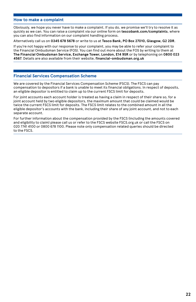#### **How to make a complaint**

Obviously, we hope you never have to make a complaint. If you do, we promise we'll try to resolve it as quickly as we can. You can raise a complaint via our online form on **tescobank.com/complaints**, where you can also find information on our complaint handling process.

Alternatively call us on **0345 678 5678** or write to us at **Tesco Bank, PO Box 27010, Glasgow, G2 2DR**.

If you're not happy with our response to your complaint, you may be able to refer your complaint to the Financial Ombudsman Service (FOS). You can find out more about the FOS by writing to them at **The Financial Ombudsman Service, Exchange Tower, London, E14 9SR** or by telephoning on **0800 023 4567**. Details are also available from their website, **financial-ombudsman.org.uk**

#### **Financial Services Compensation Scheme**

We are covered by the Financial Services Compensation Scheme (FSCS). The FSCS can pay compensation to depositors if a bank is unable to meet its financial obligations. In respect of deposits, an eligible depositor is entitled to claim up to the current FSCS limit for deposits.

For joint accounts each account holder is treated as having a claim in respect of their share so, for a joint account held by two eligible depositors, the maximum amount that could be claimed would be twice the current FSCS limit for deposits. The FSCS limit relates to the combined amount in all the eligible depositor's accounts with the bank, including their share of any joint account, and not to each separate account.

For further information about the compensation provided by the FSCS (including the amounts covered and eligibility to claim) please call us or refer to the FSCS website FSCS.org.uk or call the FSCS on 020 7741 4100 or 0800 678 1100. Please note only compensation related queries should be directed to the FSCS.